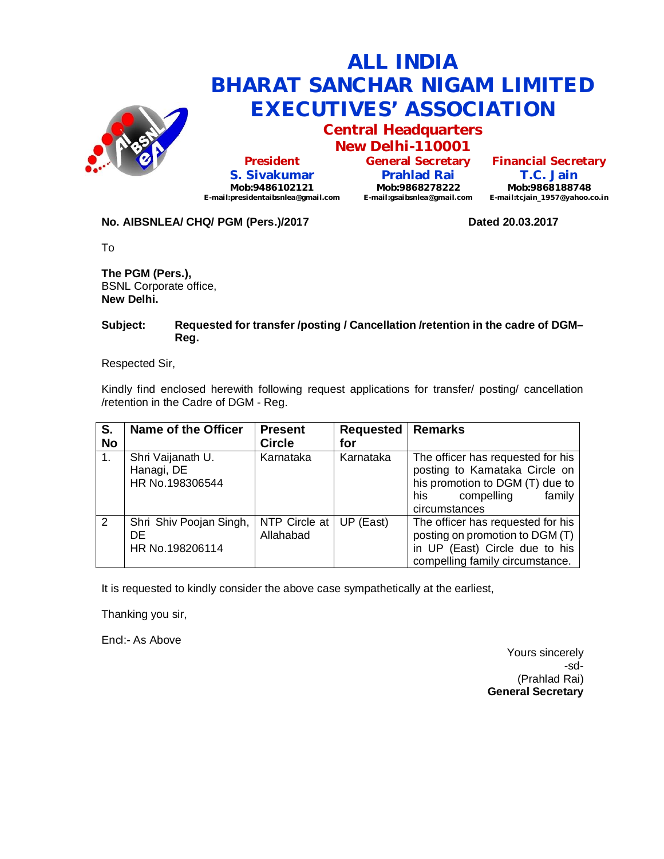

**Central Headquarters New Delhi-110001**

**President S. Sivakumar Mob:9486102121 E-mail:presidentaibsnlea@gmail.com**

**General Secretary Prahlad Rai Mob:9868278222 E-mail:gsaibsnlea@gmail.com**

**Financial Secretary T.C. Jain Mob:9868188748 E-mail:tcjain\_1957@yahoo.co.in**

#### **No. AIBSNLEA/ CHQ/ PGM (Pers.)/2017 Dated 20.03.2017**

To

**The PGM (Pers.),** BSNL Corporate office, **New Delhi.**

#### **Subject: Requested for transfer /posting / Cancellation /retention in the cadre of DGM– Reg.**

Respected Sir,

Kindly find enclosed herewith following request applications for transfer/ posting/ cancellation /retention in the Cadre of DGM - Reg.

| S.<br><b>No</b> | Name of the Officer                                | <b>Present</b><br><b>Circle</b>         | <b>Requested</b><br>for | <b>Remarks</b>                                                                                                                                         |
|-----------------|----------------------------------------------------|-----------------------------------------|-------------------------|--------------------------------------------------------------------------------------------------------------------------------------------------------|
|                 | Shri Vaijanath U.<br>Hanagi, DE<br>HR No.198306544 | Karnataka                               | Karnataka               | The officer has requested for his<br>posting to Karnataka Circle on<br>his promotion to DGM (T) due to<br>family<br>compelling<br>his<br>circumstances |
| 2               | Shri Shiv Poojan Singh,<br>DE<br>HR No.198206114   | NTP Circle at $ UP$ (East)<br>Allahabad |                         | The officer has requested for his<br>posting on promotion to DGM (T)<br>in UP (East) Circle due to his<br>compelling family circumstance.              |

It is requested to kindly consider the above case sympathetically at the earliest,

Thanking you sir,

Encl:- As Above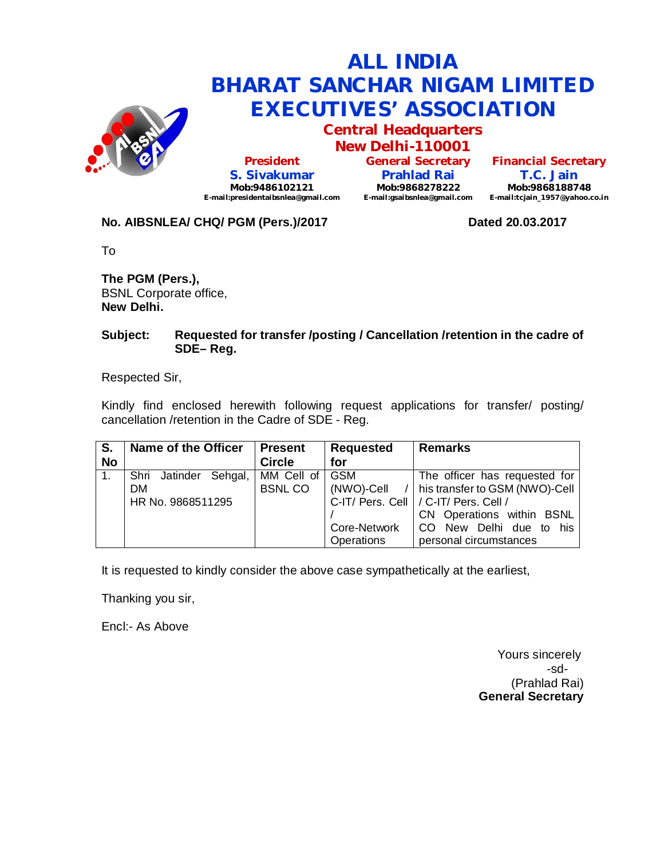

**Central Headquarters**

**New Delhi-110001 President S. Sivakumar Mob:9486102121 E-mail:presidentaibsnlea@gmail.com**

**General Secretary Prahlad Rai Mob:9868278222 E-mail:gsaibsnlea@gmail.com**

**Financial Secretary T.C. Jain Mob:9868188748 E-mail:tcjain\_1957@yahoo.co.in**

### **No. AIBSNLEA/ CHQ/ PGM (Pers.)/2017 Dated 20.03.2017**

To

**The PGM (Pers.),** BSNL Corporate office, **New Delhi.**

### **Subject: Requested for transfer /posting / Cancellation /retention in the cadre of SDE– Reg.**

Respected Sir,

Kindly find enclosed herewith following request applications for transfer/ posting/ cancellation /retention in the Cadre of SDE - Reg.

| S.             | Name of the Officer   | <b>Present</b> | <b>Requested</b> | <b>Remarks</b>                                   |
|----------------|-----------------------|----------------|------------------|--------------------------------------------------|
| <b>No</b>      |                       | <b>Circle</b>  | for              |                                                  |
| $\mathbf{1}$ . | Shri Jatinder Sehgal, | MM Cell of     | <b>GSM</b>       | The officer has requested for                    |
|                | <b>DM</b>             | <b>BSNLCO</b>  |                  | $(NWO)$ -Cell $/$ his transfer to GSM (NWO)-Cell |
|                | HR No. 9868511295     |                |                  | C-IT/ Pers. Cell   / C-IT/ Pers. Cell /          |
|                |                       |                |                  | CN Operations within BSNL                        |
|                |                       |                | Core-Network     | CO New Delhi due to his                          |
|                |                       |                | Operations       | personal circumstances                           |

It is requested to kindly consider the above case sympathetically at the earliest,

Thanking you sir,

Encl:- As Above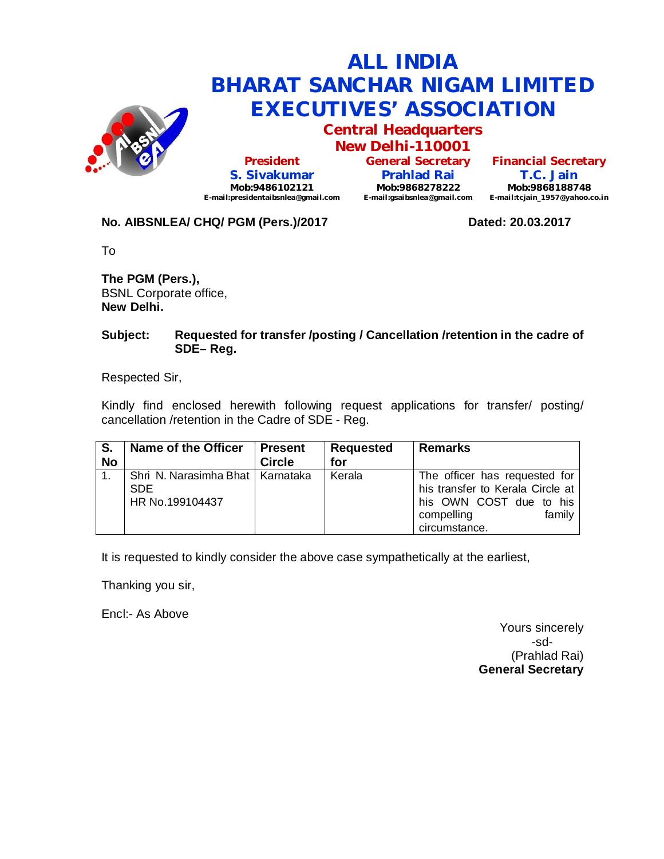

**Central Headquarters**

**New Delhi-110001 President S. Sivakumar Mob:9486102121 E-mail:presidentaibsnlea@gmail.com**

**General Secretary Prahlad Rai Mob:9868278222 E-mail:gsaibsnlea@gmail.com**

**Financial Secretary T.C. Jain Mob:9868188748 E-mail:tcjain\_1957@yahoo.co.in**

### No. AIBSNLEA/ CHQ/ PGM (Pers.)/2017 **Dated: 20.03.2017**

To

**The PGM (Pers.),** BSNL Corporate office, **New Delhi.**

### **Subject: Requested for transfer /posting / Cancellation /retention in the cadre of SDE– Reg.**

Respected Sir,

Kindly find enclosed herewith following request applications for transfer/ posting/ cancellation /retention in the Cadre of SDE - Reg.

| S.<br><b>No</b> | Name of the Officer                                                 | <b>Present</b><br><b>Circle</b> | <b>Requested</b><br>for | <b>Remarks</b>                                                                                                                        |
|-----------------|---------------------------------------------------------------------|---------------------------------|-------------------------|---------------------------------------------------------------------------------------------------------------------------------------|
|                 | Shri N. Narasimha Bhat   Karnataka<br><b>SDE</b><br>HR No.199104437 |                                 | Kerala                  | The officer has requested for<br>his transfer to Kerala Circle at<br>his OWN COST due to his<br>family<br>compelling<br>circumstance. |

It is requested to kindly consider the above case sympathetically at the earliest,

Thanking you sir,

Encl:- As Above